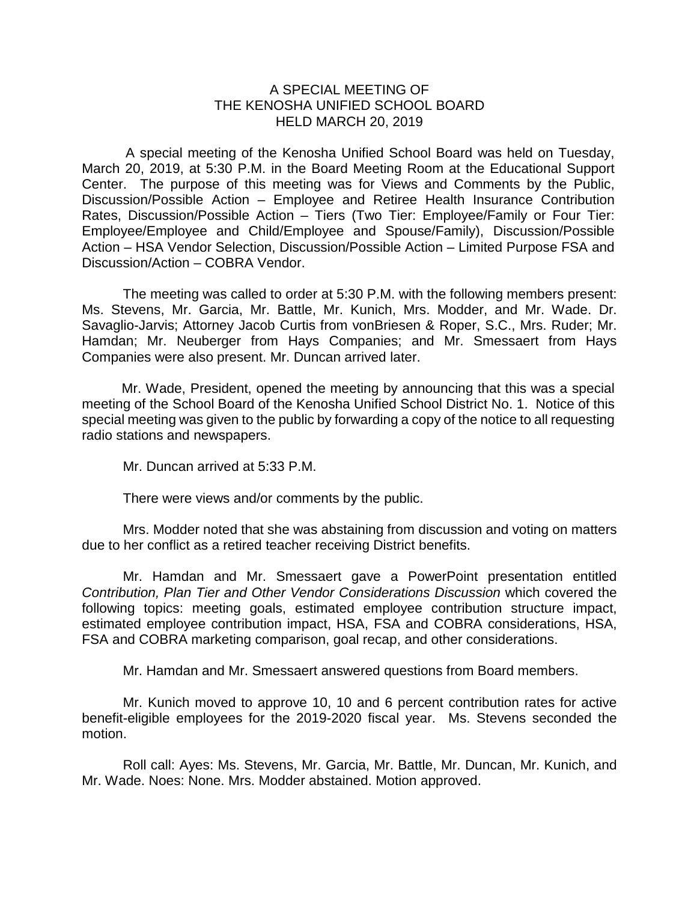## A SPECIAL MEETING OF THE KENOSHA UNIFIED SCHOOL BOARD HELD MARCH 20, 2019

A special meeting of the Kenosha Unified School Board was held on Tuesday, March 20, 2019, at 5:30 P.M. in the Board Meeting Room at the Educational Support Center. The purpose of this meeting was for Views and Comments by the Public, Discussion/Possible Action – Employee and Retiree Health Insurance Contribution Rates, Discussion/Possible Action – Tiers (Two Tier: Employee/Family or Four Tier: Employee/Employee and Child/Employee and Spouse/Family), Discussion/Possible Action – HSA Vendor Selection, Discussion/Possible Action – Limited Purpose FSA and Discussion/Action – COBRA Vendor.

The meeting was called to order at 5:30 P.M. with the following members present: Ms. Stevens, Mr. Garcia, Mr. Battle, Mr. Kunich, Mrs. Modder, and Mr. Wade. Dr. Savaglio-Jarvis; Attorney Jacob Curtis from vonBriesen & Roper, S.C., Mrs. Ruder; Mr. Hamdan; Mr. Neuberger from Hays Companies; and Mr. Smessaert from Hays Companies were also present. Mr. Duncan arrived later.

Mr. Wade, President, opened the meeting by announcing that this was a special meeting of the School Board of the Kenosha Unified School District No. 1. Notice of this special meeting was given to the public by forwarding a copy of the notice to all requesting radio stations and newspapers.

Mr. Duncan arrived at 5:33 P.M.

There were views and/or comments by the public.

Mrs. Modder noted that she was abstaining from discussion and voting on matters due to her conflict as a retired teacher receiving District benefits.

Mr. Hamdan and Mr. Smessaert gave a PowerPoint presentation entitled *Contribution, Plan Tier and Other Vendor Considerations Discussion* which covered the following topics: meeting goals, estimated employee contribution structure impact, estimated employee contribution impact, HSA, FSA and COBRA considerations, HSA, FSA and COBRA marketing comparison, goal recap, and other considerations.

Mr. Hamdan and Mr. Smessaert answered questions from Board members.

Mr. Kunich moved to approve 10, 10 and 6 percent contribution rates for active benefit-eligible employees for the 2019-2020 fiscal year. Ms. Stevens seconded the motion.

Roll call: Ayes: Ms. Stevens, Mr. Garcia, Mr. Battle, Mr. Duncan, Mr. Kunich, and Mr. Wade. Noes: None. Mrs. Modder abstained. Motion approved.